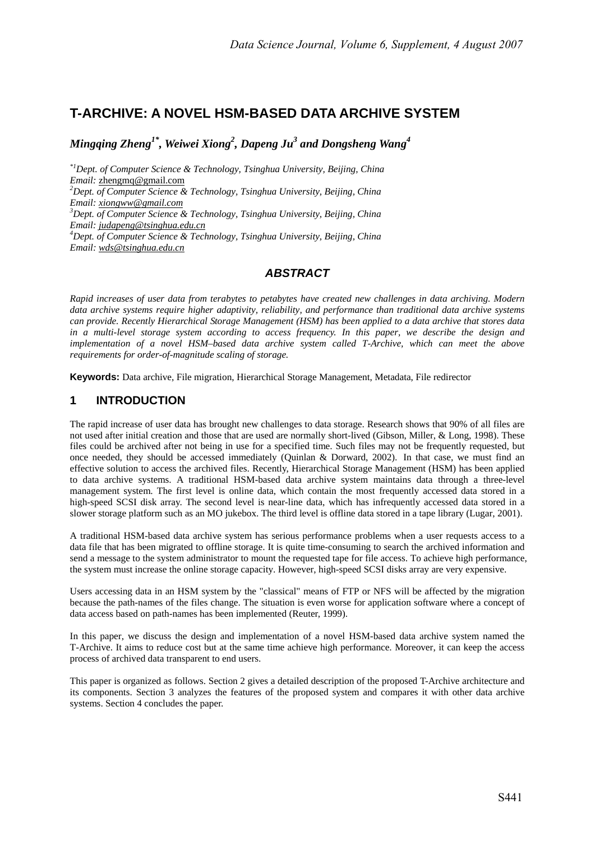# **T-ARCHIVE: A NOVEL HSM-BASED DATA ARCHIVE SYSTEM**

 $M$ ingqing Zheng<sup>1\*</sup>, Weiwei Xiong<sup>2</sup>, Dapeng Ju<sup>3</sup> and Dongsheng Wang<sup>4</sup>

*\*1Dept. of Computer Science & Technology, Tsinghua University, Beijing, China Email:* zhengmq@gmail.com *<sup>2</sup> Dept. of Computer Science & Technology, Tsinghua University, Beijing, China Email: xiongww@gmail.com 3 Dept. of Computer Science & Technology, Tsinghua University, Beijing, China Email: judapeng@tsinghua.edu.cn 4 Dept. of Computer Science & Technology, Tsinghua University, Beijing, China Email: wds@tsinghua.edu.cn*

# *ABSTRACT*

*Rapid increases of user data from terabytes to petabytes have created new challenges in data archiving. Modern data archive systems require higher adaptivity, reliability, and performance than traditional data archive systems can provide. Recently Hierarchical Storage Management (HSM) has been applied to a data archive that stores data in a multi-level storage system according to access frequency. In this paper, we describe the design and implementation of a novel HSM–based data archive system called T-Archive, which can meet the above requirements for order-of-magnitude scaling of storage.* 

**Keywords:** Data archive, File migration, Hierarchical Storage Management, Metadata, File redirector

# **1 INTRODUCTION**

The rapid increase of user data has brought new challenges to data storage. Research shows that 90% of all files are not used after initial creation and those that are used are normally short-lived (Gibson, Miller, & Long, 1998). These files could be archived after not being in use for a specified time. Such files may not be frequently requested, but once needed, they should be accessed immediately (Quinlan & Dorward, 2002). In that case, we must find an effective solution to access the archived files. Recently, Hierarchical Storage Management (HSM) has been applied to data archive systems. A traditional HSM-based data archive system maintains data through a three-level management system. The first level is online data, which contain the most frequently accessed data stored in a high-speed SCSI disk array. The second level is near-line data, which has infrequently accessed data stored in a slower storage platform such as an MO jukebox. The third level is offline data stored in a tape library (Lugar, 2001).

A traditional HSM-based data archive system has serious performance problems when a user requests access to a data file that has been migrated to offline storage. It is quite time-consuming to search the archived information and send a message to the system administrator to mount the requested tape for file access. To achieve high performance, the system must increase the online storage capacity. However, high-speed SCSI disks array are very expensive.

Users accessing data in an HSM system by the "classical" means of FTP or NFS will be affected by the migration because the path-names of the files change. The situation is even worse for application software where a concept of data access based on path-names has been implemented (Reuter, 1999).

In this paper, we discuss the design and implementation of a novel HSM-based data archive system named the T-Archive. It aims to reduce cost but at the same time achieve high performance. Moreover, it can keep the access process of archived data transparent to end users.

This paper is organized as follows. Section 2 gives a detailed description of the proposed T-Archive architecture and its components. Section 3 analyzes the features of the proposed system and compares it with other data archive systems. Section 4 concludes the paper.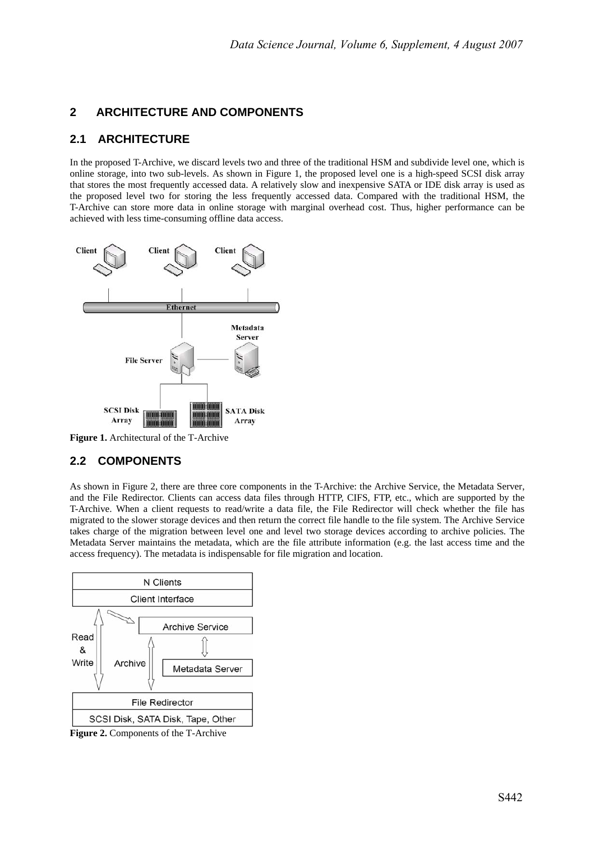# **2 ARCHITECTURE AND COMPONENTS**

### **2.1 ARCHITECTURE**

In the proposed T-Archive, we discard levels two and three of the traditional HSM and subdivide level one, which is online storage, into two sub-levels. As shown in Figure 1, the proposed level one is a high-speed SCSI disk array that stores the most frequently accessed data. A relatively slow and inexpensive SATA or IDE disk array is used as the proposed level two for storing the less frequently accessed data. Compared with the traditional HSM, the T-Archive can store more data in online storage with marginal overhead cost. Thus, higher performance can be achieved with less time-consuming offline data access.



**Figure 1.** Architectural of the T-Archive

# **2.2 COMPONENTS**

As shown in Figure 2, there are three core components in the T-Archive: the Archive Service, the Metadata Server, and the File Redirector. Clients can access data files through HTTP, CIFS, FTP, etc., which are supported by the T-Archive. When a client requests to read/write a data file, the File Redirector will check whether the file has migrated to the slower storage devices and then return the correct file handle to the file system. The Archive Service takes charge of the migration between level one and level two storage devices according to archive policies. The Metadata Server maintains the metadata, which are the file attribute information (e.g. the last access time and the access frequency). The metadata is indispensable for file migration and location.



**Figure 2.** Components of the T-Archive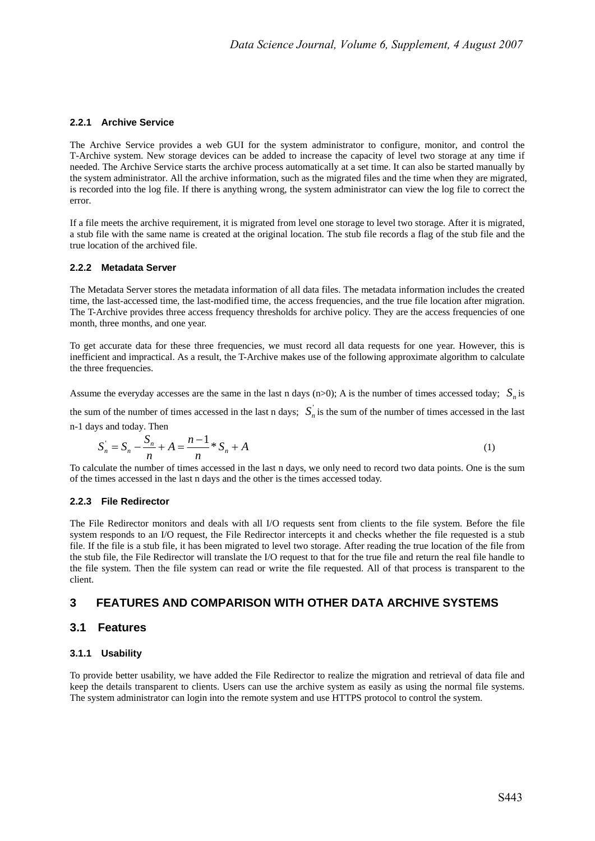#### **2.2.1 Archive Service**

The Archive Service provides a web GUI for the system administrator to configure, monitor, and control the T-Archive system. New storage devices can be added to increase the capacity of level two storage at any time if needed. The Archive Service starts the archive process automatically at a set time. It can also be started manually by the system administrator. All the archive information, such as the migrated files and the time when they are migrated, is recorded into the log file. If there is anything wrong, the system administrator can view the log file to correct the error.

If a file meets the archive requirement, it is migrated from level one storage to level two storage. After it is migrated, a stub file with the same name is created at the original location. The stub file records a flag of the stub file and the true location of the archived file.

#### **2.2.2 Metadata Server**

The Metadata Server stores the metadata information of all data files. The metadata information includes the created time, the last-accessed time, the last-modified time, the access frequencies, and the true file location after migration. The T-Archive provides three access frequency thresholds for archive policy. They are the access frequencies of one month, three months, and one year.

To get accurate data for these three frequencies, we must record all data requests for one year. However, this is inefficient and impractical. As a result, the T-Archive makes use of the following approximate algorithm to calculate the three frequencies.

Assume the everyday accesses are the same in the last n days (n>0); A is the number of times accessed today;  $S_n$  is

the sum of the number of times accessed in the last n days;  $S_n$  is the sum of the number of times accessed in the last n-1 days and today. Then

$$
S_n = S_n - \frac{S_n}{n} + A = \frac{n-1}{n} * S_n + A
$$
\n(1)

To calculate the number of times accessed in the last n days, we only need to record two data points. One is the sum of the times accessed in the last n days and the other is the times accessed today.

#### **2.2.3 File Redirector**

The File Redirector monitors and deals with all I/O requests sent from clients to the file system. Before the file system responds to an I/O request, the File Redirector intercepts it and checks whether the file requested is a stub file. If the file is a stub file, it has been migrated to level two storage. After reading the true location of the file from the stub file, the File Redirector will translate the I/O request to that for the true file and return the real file handle to the file system. Then the file system can read or write the file requested. All of that process is transparent to the client.

### **3 FEATURES AND COMPARISON WITH OTHER DATA ARCHIVE SYSTEMS**

### **3.1 Features**

### **3.1.1 Usability**

To provide better usability, we have added the File Redirector to realize the migration and retrieval of data file and keep the details transparent to clients. Users can use the archive system as easily as using the normal file systems. The system administrator can login into the remote system and use HTTPS protocol to control the system.